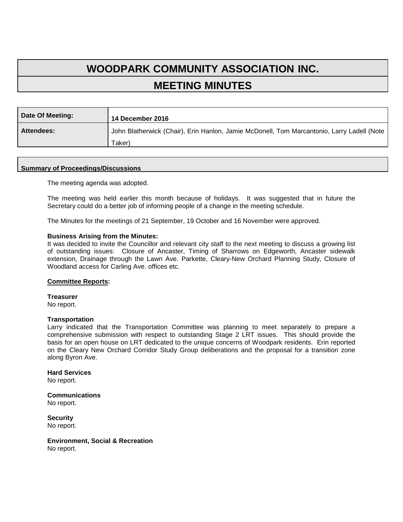# **WOODPARK COMMUNITY ASSOCIATION INC. MEETING MINUTES**

| Date Of Meeting:  | 14 December 2016                                                                           |
|-------------------|--------------------------------------------------------------------------------------------|
| <b>Attendees:</b> | John Blatherwick (Chair), Erin Hanlon, Jamie McDonell, Tom Marcantonio, Larry Ladell (Note |
|                   | Taker)                                                                                     |

## **Summary of Proceedings/Discussions**

The meeting agenda was adopted.

The meeting was held earlier this month because of holidays. It was suggested that in future the Secretary could do a better job of informing people of a change in the meeting schedule.

The Minutes for the meetings of 21 September, 19 October and 16 November were approved.

#### **Business Arising from the Minutes:**

It was decided to invite the Councillor and relevant city staff to the next meeting to discuss a growing list of outstanding issues: Closure of Ancaster, Timing of Sharrows on Edgeworth, Ancaster sidewalk extension, Drainage through the Lawn Ave. Parkette, Cleary-New Orchard Planning Study, Closure of Woodland access for Carling Ave. offices etc.

#### **Committee Reports:**

**Treasurer**  No report.

#### **Transportation**

Larry indicated that the Transportation Committee was planning to meet separately to prepare a comprehensive submission with respect to outstanding Stage 2 LRT issues. This should provide the basis for an open house on LRT dedicated to the unique concerns of Woodpark residents. Erin reported on the Cleary New Orchard Corridor Study Group deliberations and the proposal for a transition zone along Byron Ave.

## **Hard Services**

No report.

**Communications** No report.

**Security** No report.

**Environment, Social & Recreation** No report.